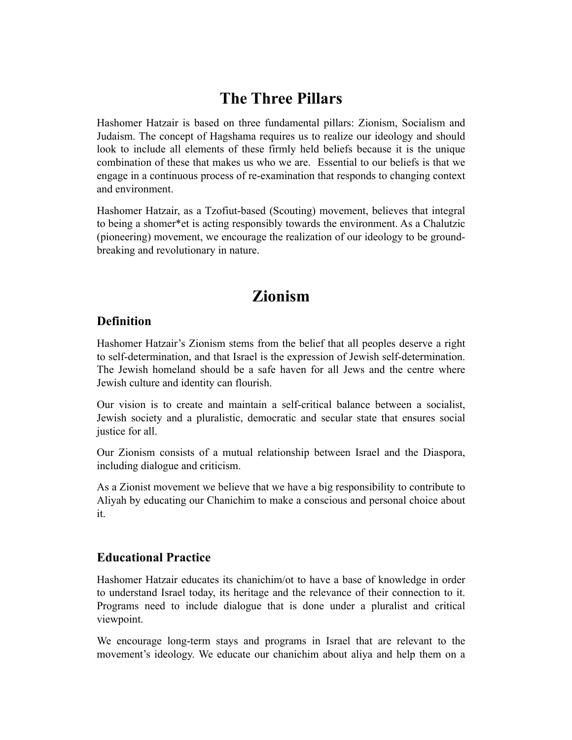## **The Three Pillars**

Hashomer Hatzair is based on three fundamental pillars: Zionism, Socialism and Judaism. The concept of Hagshama requires us to realize our ideology and should look to include all elements of these firmly held beliefs because it is the unique combination of these that makes us who we are. Essential to our beliefs is that we engage in a continuous process of re-examination that responds to changing context and environment.

Hashomer Hatzair, as a Tzofiut-based (Scouting) movement, believes that integral to being a shomer\*et is acting responsibly towards the environment. As a Chalutzic (pioneering) movement, we encourage the realization of our ideology to be groundbreaking and revolutionary in nature.

## **Zionism**

#### **Definition**

Hashomer Hatzair's Zionism stems from the belief that all peoples deserve a right to self-determination, and that Israel is the expression of Jewish self-determination. The Jewish homeland should be a safe haven for all Jews and the centre where Jewish culture and identity can flourish.

Our vision is to create and maintain a self-critical balance between a socialist, Jewish society and a pluralistic, democratic and secular state that ensures social justice for all.

Our Zionism consists of a mutual relationship between Israel and the Diaspora, including dialogue and criticism.

As a Zionist movement we believe that we have a big responsibility to contribute to Aliyah by educating our Chanichim to make a conscious and personal choice about it.

#### **Educational Practice**

Hashomer Hatzair educates its chanichim/ot to have a base of knowledge in order to understand Israel today, its heritage and the relevance of their connection to it. Programs need to include dialogue that is done under a pluralist and critical viewpoint.

We encourage long-term stays and programs in Israel that are relevant to the movement's ideology. We educate our chanichim about aliya and help them on a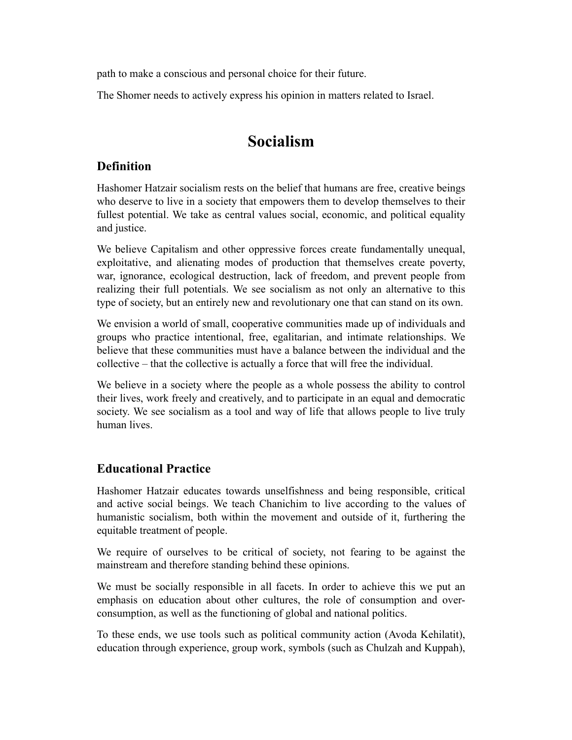path to make a conscious and personal choice for their future.

The Shomer needs to actively express his opinion in matters related to Israel.

## **Socialism**

#### **Definition**

Hashomer Hatzair socialism rests on the belief that humans are free, creative beings who deserve to live in a society that empowers them to develop themselves to their fullest potential. We take as central values social, economic, and political equality and justice.

We believe Capitalism and other oppressive forces create fundamentally unequal, exploitative, and alienating modes of production that themselves create poverty, war, ignorance, ecological destruction, lack of freedom, and prevent people from realizing their full potentials. We see socialism as not only an alternative to this type of society, but an entirely new and revolutionary one that can stand on its own.

We envision a world of small, cooperative communities made up of individuals and groups who practice intentional, free, egalitarian, and intimate relationships. We believe that these communities must have a balance between the individual and the collective – that the collective is actually a force that will free the individual.

We believe in a society where the people as a whole possess the ability to control their lives, work freely and creatively, and to participate in an equal and democratic society. We see socialism as a tool and way of life that allows people to live truly human lives.

#### **Educational Practice**

Hashomer Hatzair educates towards unselfishness and being responsible, critical and active social beings. We teach Chanichim to live according to the values of humanistic socialism, both within the movement and outside of it, furthering the equitable treatment of people.

We require of ourselves to be critical of society, not fearing to be against the mainstream and therefore standing behind these opinions.

We must be socially responsible in all facets. In order to achieve this we put an emphasis on education about other cultures, the role of consumption and overconsumption, as well as the functioning of global and national politics.

To these ends, we use tools such as political community action (Avoda Kehilatit), education through experience, group work, symbols (such as Chulzah and Kuppah),